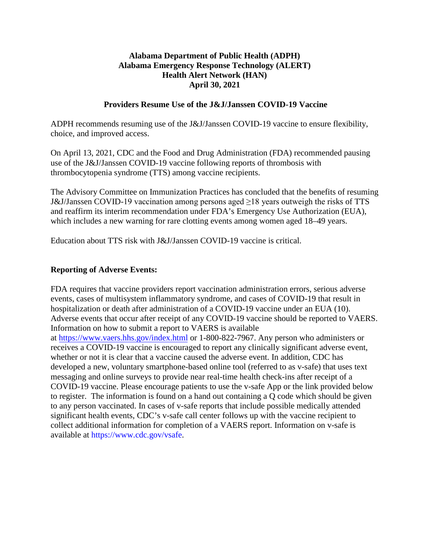# **Alabama Department of Public Health (ADPH) Alabama Emergency Response Technology (ALERT) Health Alert Network (HAN) April 30, 2021**

### **Providers Resume Use of the J&J/Janssen COVID-19 Vaccine**

ADPH recommends resuming use of the J&J/Janssen COVID-19 vaccine to ensure flexibility, choice, and improved access.

On April 13, 2021, CDC and the Food and Drug Administration (FDA) recommended pausing use of the J&J/Janssen COVID-19 vaccine following reports of thrombosis with thrombocytopenia syndrome (TTS) among vaccine recipients.

The Advisory Committee on Immunization Practices has concluded that the benefits of resuming J&J/Janssen COVID-19 vaccination among persons aged ≥18 years outweigh the risks of TTS and reaffirm its interim recommendation under FDA's Emergency Use Authorization (EUA), which includes a new warning for rare clotting events among women aged 18–49 years.

Education about TTS risk with J&J/Janssen COVID-19 vaccine is critical.

### **Reporting of Adverse Events:**

FDA requires that vaccine providers report vaccination administration errors, serious adverse events, cases of multisystem inflammatory syndrome, and cases of COVID-19 that result in hospitalization or death after administration of a COVID-19 vaccine under an EUA (10). Adverse events that occur after receipt of any COVID-19 vaccine should be reported to VAERS. Information on how to submit a report to VAERS is available at <https://www.vaers.hhs.gov/index.html> or 1-800-822-7967. Any person who administers or receives a COVID-19 vaccine is encouraged to report any clinically significant adverse event, whether or not it is clear that a vaccine caused the adverse event. In addition, CDC has developed a new, voluntary smartphone-based online tool (referred to as v-safe) that uses text messaging and online surveys to provide near real-time health check-ins after receipt of a COVID-19 vaccine. Please encourage patients to use the v-safe App or the link provided below to register. The information is found on a hand out containing a Q code which should be given to any person vaccinated. In cases of v-safe reports that include possible medically attended significant health events, CDC's v-safe call center follows up with the vaccine recipient to collect additional information for completion of a VAERS report. Information on v-safe is available at [https://www.cdc.gov/vsafe.](https://www.cdc.gov/vsafe)